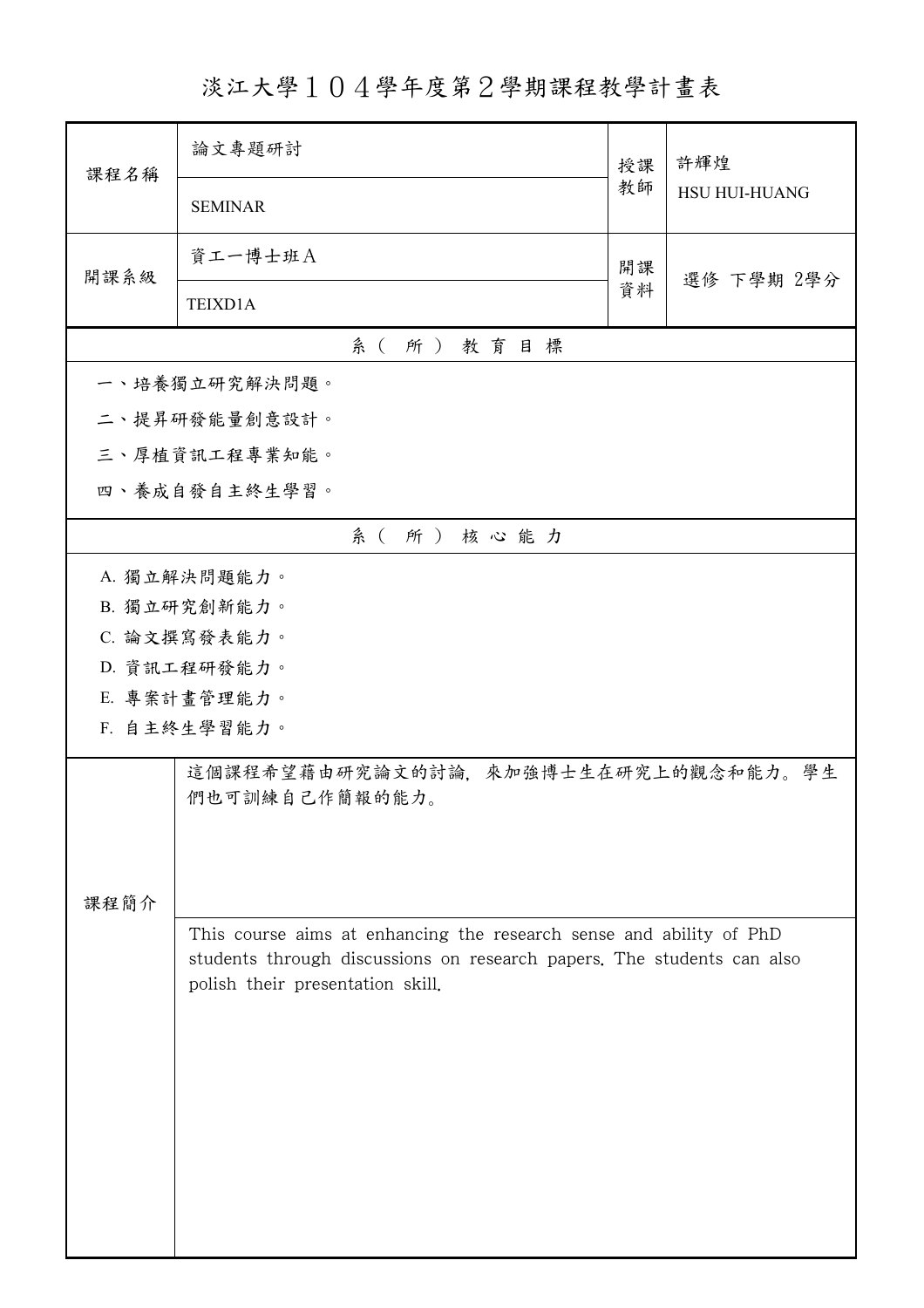淡江大學104學年度第2學期課程教學計畫表

| <b>HSU HUI-HUANG</b>                                                   |
|------------------------------------------------------------------------|
| 選修 下學期 2學分                                                             |
|                                                                        |
|                                                                        |
|                                                                        |
|                                                                        |
|                                                                        |
|                                                                        |
|                                                                        |
|                                                                        |
|                                                                        |
|                                                                        |
|                                                                        |
|                                                                        |
|                                                                        |
| 這個課程希望藉由研究論文的討論, 來加強博士生在研究上的觀念和能力。學生                                   |
|                                                                        |
|                                                                        |
|                                                                        |
| students through discussions on research papers. The students can also |
|                                                                        |
|                                                                        |
|                                                                        |
|                                                                        |
|                                                                        |
|                                                                        |
|                                                                        |
| This course aims at enhancing the research sense and ability of PhD    |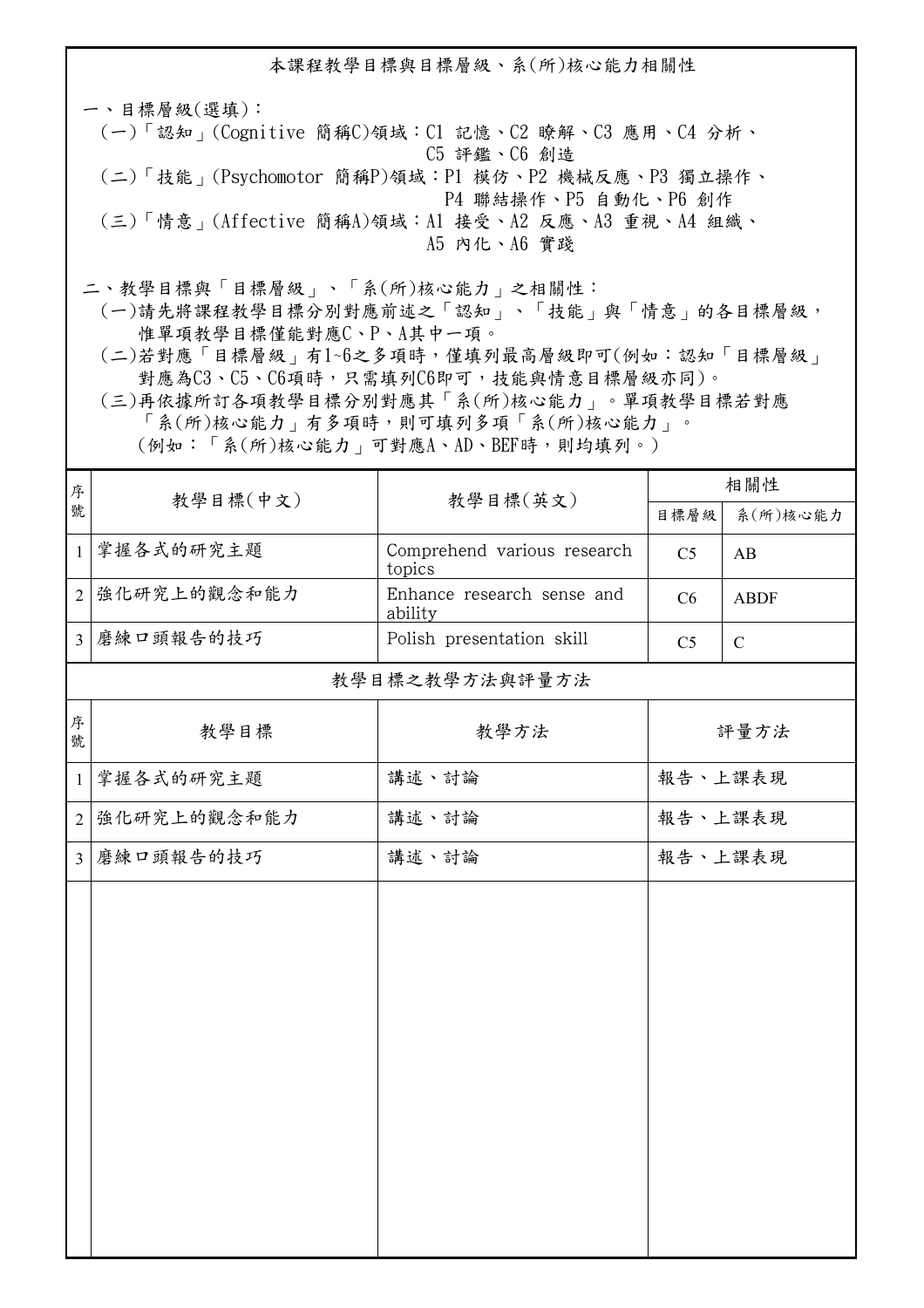本課程教學目標與目標層級、系(所)核心能力相關性 一、目標層級(選填): (一)「認知」(Cognitive 簡稱C)領域:C1 記憶、C2 瞭解、C3 應用、C4 分析、 C5 評鑑、C6 創造

- (二)「技能」(Psychomotor 簡稱P)領域:P1 模仿、P2 機械反應、P3 獨立操作、 P4 聯結操作、P5 自動化、P6 創作
- (三)「情意」(Affective 簡稱A)領域:A1 接受、A2 反應、A3 重視、A4 組織、 A5 內化、A6 實踐
- 二、教學目標與「目標層級」、「系(所)核心能力」之相關性:
	- (一)請先將課程教學目標分別對應前述之「認知」、「技能」與「情意」的各目標層級, 惟單項教學目標僅能對應C、P、A其中一項。
	- (二)若對應「目標層級」有1~6之多項時,僅填列最高層級即可(例如:認知「目標層級」 對應為C3、C5、C6項時,只需填列C6即可,技能與情意目標層級亦同)。
	- (三)再依據所訂各項教學目標分別對應其「系(所)核心能力」。單項教學目標若對應 「系(所)核心能力」有多項時,則可填列多項「系(所)核心能力」。

(例如:「系(所)核心能力」可對應A、AD、BEF時,則均填列。)

| 序              | 教學目標(中文)       | 教學目標(英文)                              | 相關性            |              |  |  |  |  |
|----------------|----------------|---------------------------------------|----------------|--------------|--|--|--|--|
| 號              |                |                                       | 目標層級           | 系(所)核心能力     |  |  |  |  |
| $\mathbf{1}$   | 掌握各式的研究主题      | Comprehend various research<br>topics | C <sub>5</sub> | AB           |  |  |  |  |
| $\overline{2}$ | 強化研究上的觀念和能力    | Enhance research sense and<br>ability | C6             | <b>ABDF</b>  |  |  |  |  |
| $\overline{3}$ | 磨練口頭報告的技巧      | Polish presentation skill             | C <sub>5</sub> | $\mathsf{C}$ |  |  |  |  |
|                | 教學目標之教學方法與評量方法 |                                       |                |              |  |  |  |  |
| 序<br>號         | 教學目標           | 教學方法                                  | 評量方法           |              |  |  |  |  |
| $\mathbf{1}$   | 掌握各式的研究主题      | 講述、討論                                 | 報告、上課表現        |              |  |  |  |  |
| $\overline{2}$ | 強化研究上的觀念和能力    | 講述、討論                                 | 報告、上課表現        |              |  |  |  |  |
| $\overline{3}$ | 磨練口頭報告的技巧      | 講述、討論                                 | 報告、上課表現        |              |  |  |  |  |
|                |                |                                       |                |              |  |  |  |  |
|                |                |                                       |                |              |  |  |  |  |
|                |                |                                       |                |              |  |  |  |  |
|                |                |                                       |                |              |  |  |  |  |
|                |                |                                       |                |              |  |  |  |  |
|                |                |                                       |                |              |  |  |  |  |
|                |                |                                       |                |              |  |  |  |  |
|                |                |                                       |                |              |  |  |  |  |
|                |                |                                       |                |              |  |  |  |  |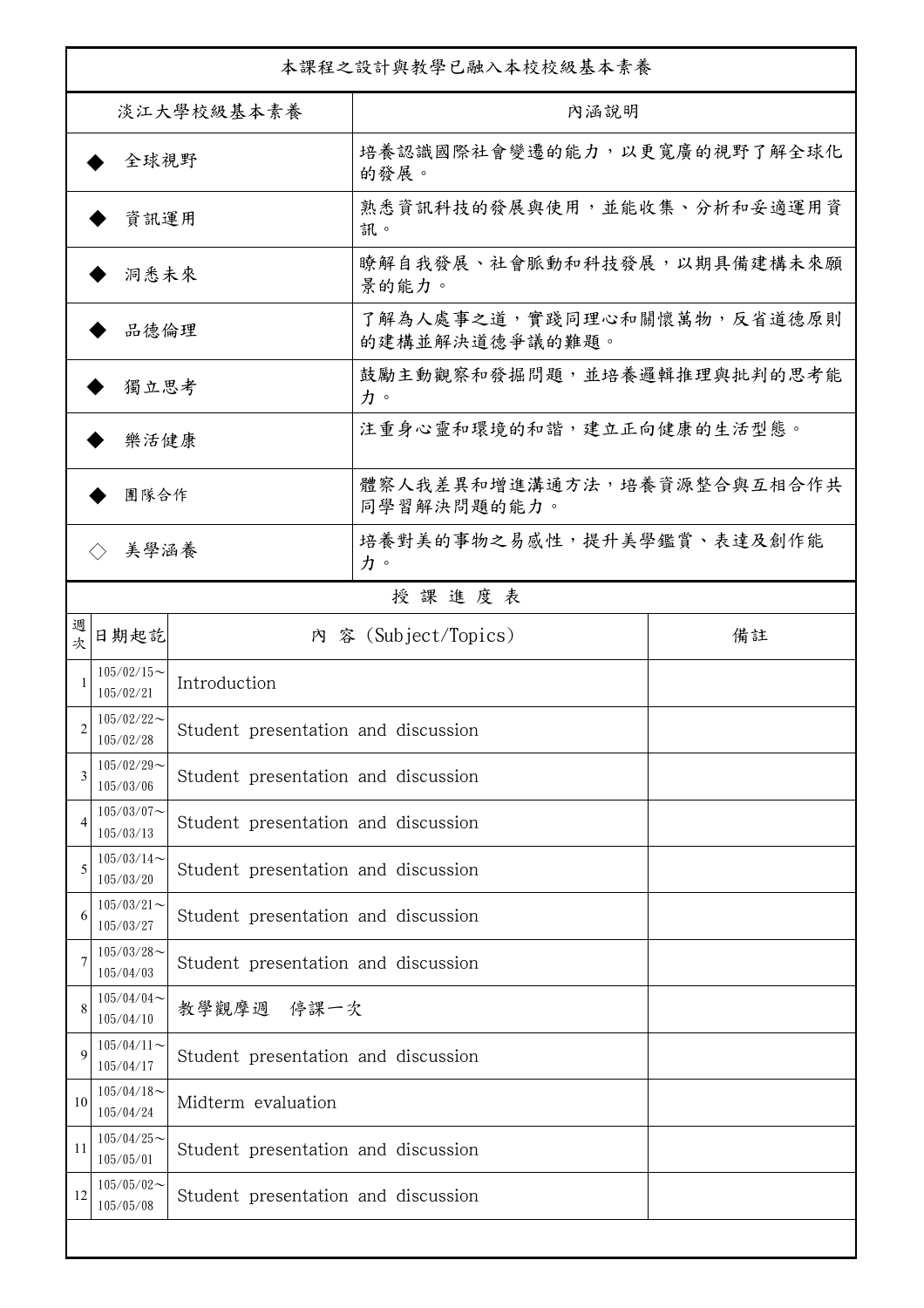| 本課程之設計與教學已融入本校校級基本素養        |                            |                                     |                                              |    |  |
|-----------------------------|----------------------------|-------------------------------------|----------------------------------------------|----|--|
| 淡江大學校級基本素養                  |                            |                                     | 內涵說明                                         |    |  |
| 全球視野                        |                            |                                     | 培養認識國際社會變遷的能力,以更寬廣的視野了解全球化<br>的發展。           |    |  |
| 資訊運用                        |                            |                                     | 熟悉資訊科技的發展與使用,並能收集、分析和妥適運用資<br>訊。             |    |  |
| 洞悉未來                        |                            |                                     | 瞭解自我發展、社會脈動和科技發展,以期具備建構未來願<br>景的能力。          |    |  |
| 品德倫理                        |                            |                                     | 了解為人處事之道,實踐同理心和關懷萬物,反省道德原則<br>的建構並解決道德爭議的難題。 |    |  |
| 獨立思考                        |                            |                                     | 鼓勵主動觀察和發掘問題,並培養邏輯推理與批判的思考能<br>力。             |    |  |
| 樂活健康                        |                            |                                     | 注重身心靈和環境的和諧,建立正向健康的生活型態。                     |    |  |
| 團隊合作                        |                            |                                     | 體察人我差異和增進溝通方法,培養資源整合與互相合作共<br>同學習解決問題的能力。    |    |  |
| 美學涵養<br>$\langle \ \rangle$ |                            |                                     | 培養對美的事物之易感性,提升美學鑑賞、表達及創作能<br>力。              |    |  |
|                             |                            |                                     | 授課進度表                                        |    |  |
| 週<br>欤                      | 日期起訖                       |                                     | 內 容 (Subject/Topics)                         | 備註 |  |
|                             | $105/02/15$ ~<br>105/02/21 | Introduction                        |                                              |    |  |
| 2                           | $105/02/22$ ~<br>105/02/28 | Student presentation and discussion |                                              |    |  |
| 3                           | $105/02/29$ ~<br>105/03/06 | Student presentation and discussion |                                              |    |  |
| 4                           | $105/03/07$ ~<br>105/03/13 | Student presentation and discussion |                                              |    |  |
| 5                           | $105/03/14$ ~<br>105/03/20 | Student presentation and discussion |                                              |    |  |
| 6                           | $105/03/21$ ~<br>105/03/27 | Student presentation and discussion |                                              |    |  |
|                             | $105/03/28$ ~<br>105/04/03 | Student presentation and discussion |                                              |    |  |
| 8                           | $105/04/04$ ~<br>105/04/10 | 教學觀摩週 停课一次                          |                                              |    |  |
| $\mathbf Q$                 | $105/04/11$ ~<br>105/04/17 | Student presentation and discussion |                                              |    |  |
| 10                          | $105/04/18$ ~<br>105/04/24 | Midterm evaluation                  |                                              |    |  |
| 11                          | $105/04/25$ ~<br>105/05/01 | Student presentation and discussion |                                              |    |  |
| 12                          | $105/05/02$ ~<br>105/05/08 | Student presentation and discussion |                                              |    |  |
|                             |                            |                                     |                                              |    |  |